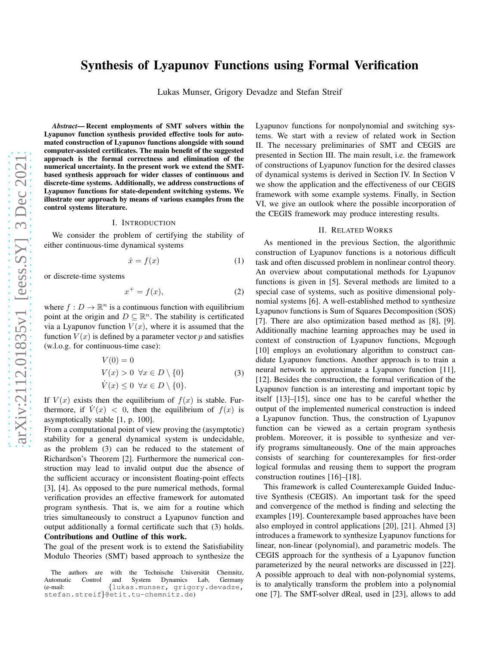# Synthesis of Lyapunov Functions using Formal Verification

Lukas Munser, Grigory Devadze and Stefan Streif

*Abstract*— Recent employments of SMT solvers within the Lyapunov function synthesis provided effective tools for automated construction of Lyapunov functions alongside with sound computer-assisted certificates. The main benefit of the suggested approach is the formal correctness and elimination of the numerical uncertainty. In the present work we extend the SMTbased synthesis approach for wider classes of continuous and discrete-time systems. Additionally, we address constructions of Lyapunov functions for state-dependent switching systems. We illustrate our approach by means of various examples from the control systems literature.

#### I. INTRODUCTION

We consider the problem of certifying the stability of either continuous-time dynamical systems

$$
\dot{x} = f(x) \tag{1}
$$

or discrete-time systems

$$
x^+ = f(x),\tag{2}
$$

where  $f: D \to \mathbb{R}^n$  is a continuous function with equilibrium point at the origin and  $D \subseteq \mathbb{R}^n$ . The stability is certificated via a Lyapunov function  $V(x)$ , where it is assumed that the function  $V(x)$  is defined by a parameter vector p and satisfies (w.l.o.g. for continuous-time case):

$$
V(0) = 0
$$
  
\n
$$
V(x) > 0 \quad \forall x \in D \setminus \{0\}
$$
  
\n
$$
\dot{V}(x) \le 0 \quad \forall x \in D \setminus \{0\}.
$$
  
\n(3)

If  $V(x)$  exists then the equilibrium of  $f(x)$  is stable. Furthermore, if  $V(x) < 0$ , then the equilibrium of  $f(x)$  is asymptotically stable [1, p. 100].

From a computational point of view proving the (asymptotic) stability for a general dynamical system is undecidable, as the problem (3) can be reduced to the statement of Richardson's Theorem [2]. Furthermore the numerical construction may lead to invalid output due the absence of the sufficient accuracy or inconsistent floating-point effects [3], [4]. As opposed to the pure numerical methods, formal verification provides an effective framework for automated program synthesis. That is, we aim for a routine which tries simultaneously to construct a Lyapunov function and output additionally a formal certificate such that (3) holds. Contributions and Outline of this work.

The goal of the present work is to extend the Satisfiability Modulo Theories (SMT) based approach to synthesize the Lyapunov functions for nonpolynomial and switching systems. We start with a review of related work in Section II. The necessary preliminaries of SMT and CEGIS are presented in Section III. The main result, i.e. the framework of constructions of Lyapunov function for the desired classes of dynamical systems is derived in Section IV. In Section V we show the application and the effectiveness of our CEGIS framework with some example systems. Finally, in Section VI, we give an outlook where the possible incorporation of the CEGIS framework may produce interesting results.

#### II. RELATED WORKS

As mentioned in the previous Section, the algorithmic construction of Lyapunov functions is a notorious difficult task and often discussed problem in nonlinear control theory. An overview about computational methods for Lyapunov functions is given in [5]. Several methods are limited to a special case of systems, such as positive dimensional polynomial systems [6]. A well-established method to synthesize Lyapunov functions is Sum of Squares Decomposition (SOS) [7]. There are also optimization based method as [8], [9]. Additionally machine learning approaches may be used in context of construction of Lyapunov functions, Mcgough [10] employs an evolutionary algorithm to construct candidate Lyapunov functions. Another approach is to train a neural network to approximate a Lyapunov function [11], [12]. Besides the construction, the formal verification of the Lyapunov function is an interesting and important topic by itself [13]–[15], since one has to be careful whether the output of the implemented numerical construction is indeed a Lyapunov function. Thus, the construction of Lyapunov function can be viewed as a certain program synthesis problem. Moreover, it is possible to synthesize and verify programs simultaneously. One of the main approaches consists of searching for counterexamples for first-order logical formulas and reusing them to support the program construction routines [16]–[18].

This framework is called Counterexample Guided Inductive Synthesis (CEGIS). An important task for the speed and convergence of the method is finding and selecting the examples [19]. Counterexample based approaches have been also employed in control applications [20], [21]. Ahmed [3] introduces a framework to synthesize Lyapunov functions for linear, non-linear (polynomial), and parametric models. The CEGIS approach for the synthesis of a Lyapunov function parameterized by the neural networks are discussed in [22]. A possible approach to deal with non-polynomial systems, is to analytically transform the problem into a polynomial one [7]. The SMT-solver dReal, used in [23], allows to add

The authors are with the Technische Universität Chemnitz, Automatic Control and System Dynamics Lab, Germany<br>(e-mail: {lukas.munser, grigory.devadze. {lukas.munser, grigory.devadze, stefan.streif}@etit.tu-chemnitz.de)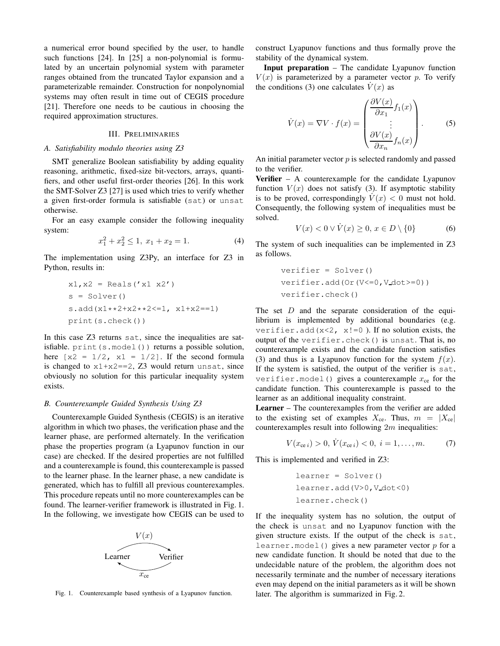a numerical error bound specified by the user, to handle such functions [24]. In [25] a non-polynomial is formulated by an uncertain polynomial system with parameter ranges obtained from the truncated Taylor expansion and a parameterizable remainder. Construction for nonpolynomial systems may often result in time out of CEGIS procedure [21]. Therefore one needs to be cautious in choosing the required approximation structures.

#### III. PRELIMINARIES

#### *A. Satisfiability modulo theories using Z3*

SMT generalize Boolean satisfiability by adding equality reasoning, arithmetic, fixed-size bit-vectors, arrays, quantifiers, and other useful first-order theories [26]. In this work the SMT-Solver Z3 [27] is used which tries to verify whether a given first-order formula is satisfiable (sat) or unsat otherwise.

For an easy example consider the following inequality system:

$$
x_1^2 + x_2^2 \le 1, \ x_1 + x_2 = 1. \tag{4}
$$

The implementation using Z3Py, an interface for Z3 in Python, results in:

x1,x2 = Reals('x1 x2') s = Solver() s.add(x1\*\*2+x2\*\*2<=1, x1+x2==1) print(s.check())

In this case Z3 returns sat, since the inequalities are satisfiable. print(s.model()) returns a possible solution, here  $[x2 = 1/2, x1 = 1/2]$ . If the second formula is changed to  $x1+x2 == 2$ , Z3 would return unsat, since obviously no solution for this particular inequality system exists.

## *B. Counterexample Guided Synthesis Using Z3*

Counterexample Guided Synthesis (CEGIS) is an iterative algorithm in which two phases, the verification phase and the learner phase, are performed alternately. In the verification phase the properties program (a Lyapunov function in our case) are checked. If the desired properties are not fulfilled and a counterexample is found, this counterexample is passed to the learner phase. In the learner phase, a new candidate is generated, which has to fulfill all previous counterexamples. This procedure repeats until no more counterexamples can be found. The learner-verifier framework is illustrated in Fig. 1. In the following, we investigate how CEGIS can be used to



Fig. 1. Counterexample based synthesis of a Lyapunov function.

construct Lyapunov functions and thus formally prove the stability of the dynamical system.

Input preparation – The candidate Lyapunov function  $V(x)$  is parameterized by a parameter vector p. To verify the conditions (3) one calculates  $V(x)$  as

$$
\dot{V}(x) = \nabla V \cdot f(x) = \begin{pmatrix} \frac{\partial V(x)}{\partial x_1} f_1(x) \\ \vdots \\ \frac{\partial V(x)}{\partial x_n} f_n(x) \end{pmatrix} .
$$
 (5)

An initial parameter vector  $p$  is selected randomly and passed to the verifier.

Verifier – A counterexample for the candidate Lyapunov function  $V(x)$  does not satisfy (3). If asymptotic stability is to be proved, correspondingly  $V(x) < 0$  must not hold. Consequently, the following system of inequalities must be solved.

$$
V(x) < 0 \lor \dot{V}(x) \ge 0, \, x \in D \setminus \{0\} \tag{6}
$$

The system of such inequalities can be implemented in Z3 as follows.

verifier = Solver() verifier.add(Or(V<=0,V dot>=0)) verifier.check()

The set  $D$  and the separate consideration of the equilibrium is implemented by additional boundaries (e.g. verifier.add( $x < 2$ ,  $x != 0$ ). If no solution exists, the output of the verifier.check() is unsat. That is, no counterexample exists and the candidate function satisfies (3) and thus is a Lyapunov function for the system  $f(x)$ . If the system is satisfied, the output of the verifier is sat, verifier.model() gives a counterexample  $x_{ce}$  for the candidate function. This counterexample is passed to the learner as an additional inequality constraint.

Learner – The counterexamples from the verifier are added to the existing set of examples  $X_{ce}$ . Thus,  $m = |X_{ce}|$ counterexamples result into following  $2m$  inequalities:

$$
V(x_{\text{ce }i}) > 0, \dot{V}(x_{\text{ce }i}) < 0, \ i = 1, \dots, m. \tag{7}
$$

This is implemented and verified in Z3:

learner = Solver() learner.add(V>0,V dot<0) learner.check()

If the inequality system has no solution, the output of the check is unsat and no Lyapunov function with the given structure exists. If the output of the check is sat, learner.model() gives a new parameter vector  $p$  for a new candidate function. It should be noted that due to the undecidable nature of the problem, the algorithm does not necessarily terminate and the number of necessary iterations even may depend on the initial parameters as it will be shown later. The algorithm is summarized in Fig. 2.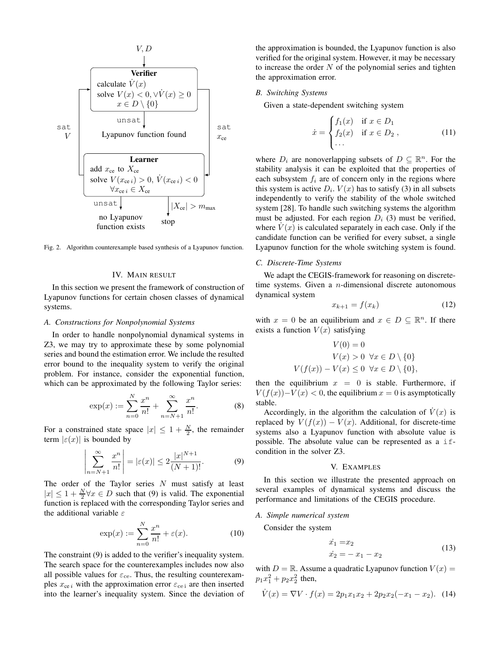

Fig. 2. Algorithm counterexample based synthesis of a Lyapunov function.

#### IV. MAIN RESULT

In this section we present the framework of construction of Lyapunov functions for certain chosen classes of dynamical systems.

#### *A. Constructions for Nonpolynomial Systems*

 $\overline{\phantom{a}}$  $\overline{\phantom{a}}$  $\overline{\phantom{a}}$  $\overline{\phantom{a}}$  $\mid$ 

In order to handle nonpolynomial dynamical systems in Z3, we may try to approximate these by some polynomial series and bound the estimation error. We include the resulted error bound to the inequality system to verify the original problem. For instance, consider the exponential function, which can be approximated by the following Taylor series:

$$
\exp(x) := \sum_{n=0}^{N} \frac{x^n}{n!} + \sum_{n=N+1}^{\infty} \frac{x^n}{n!}.
$$
 (8)

For a constrained state space  $|x| \leq 1 + \frac{N}{2}$ , the remainder term  $|\varepsilon(x)|$  is bounded by

$$
\sum_{n=N+1}^{\infty} \frac{x^n}{n!} \bigg| = |\varepsilon(x)| \le 2 \frac{|x|^{N+1}}{(N+1)!}.
$$
 (9)

The order of the Taylor series  $N$  must satisfy at least  $|x| \leq 1 + \frac{N}{2}\forall x \in D$  such that (9) is valid. The exponential function is replaced with the corresponding Taylor series and the additional variable  $\varepsilon$ 

$$
\exp(x) := \sum_{n=0}^{N} \frac{x^n}{n!} + \varepsilon(x). \tag{10}
$$

The constraint (9) is added to the verifier's inequality system. The search space for the counterexamples includes now also all possible values for  $\varepsilon_{ce}$ . Thus, the resulting counterexamples  $x_{ce i}$  with the approximation error  $\varepsilon_{ce i}$  are then inserted into the learner's inequality system. Since the deviation of the approximation is bounded, the Lyapunov function is also verified for the original system. However, it may be necessary to increase the order  $N$  of the polynomial series and tighten the approximation error.

# *B. Switching Systems*

Given a state-dependent switching system

$$
\dot{x} = \begin{cases} f_1(x) & \text{if } x \in D_1 \\ f_2(x) & \text{if } x \in D_2 \\ \cdots \end{cases}
$$
 (11)

where  $D_i$  are nonoverlapping subsets of  $D \subseteq \mathbb{R}^n$ . For the stability analysis it can be exploited that the properties of each subsystem  $f_i$  are of concern only in the regions where this system is active  $D_i$ .  $V(x)$  has to satisfy (3) in all subsets independently to verify the stability of the whole switched system [28]. To handle such switching systems the algorithm must be adjusted. For each region  $D_i$  (3) must be verified, where  $\dot{V}(x)$  is calculated separately in each case. Only if the candidate function can be verified for every subset, a single Lyapunov function for the whole switching system is found.

#### *C. Discrete-Time Systems*

We adapt the CEGIS-framework for reasoning on discretetime systems. Given a n-dimensional discrete autonomous dynamical system

$$
x_{k+1} = f(x_k) \tag{12}
$$

with  $x = 0$  be an equilibrium and  $x \in D \subseteq \mathbb{R}^n$ . If there exists a function  $V(x)$  satisfying

$$
V(0) = 0
$$
  
\n
$$
V(x) > 0 \quad \forall x \in D \setminus \{0\}
$$
  
\n
$$
V(f(x)) - V(x) \le 0 \quad \forall x \in D \setminus \{0\},
$$

then the equilibrium  $x = 0$  is stable. Furthermore, if  $V(f(x)) - V(x) < 0$ , the equilibrium  $x = 0$  is asymptotically stable.

Accordingly, in the algorithm the calculation of  $V(x)$  is replaced by  $V(f(x)) - V(x)$ . Additional, for discrete-time systems also a Lyapunov function with absolute value is possible. The absolute value can be represented as a ifcondition in the solver Z3.

#### V. EXAMPLES

In this section we illustrate the presented approach on several examples of dynamical systems and discuss the performance and limitations of the CEGIS procedure.

## *A. Simple numerical system*

Consider the system

$$
\begin{aligned}\n\dot{x}_1 &= x_2\\ \n\dot{x}_2 &= -x_1 - x_2\n\end{aligned} \tag{13}
$$

with  $D = \mathbb{R}$ . Assume a quadratic Lyapunov function  $V(x) =$  $p_1x_1^2 + p_2x_2^2$  then,

$$
\dot{V}(x) = \nabla V \cdot f(x) = 2p_1x_1x_2 + 2p_2x_2(-x_1 - x_2). \tag{14}
$$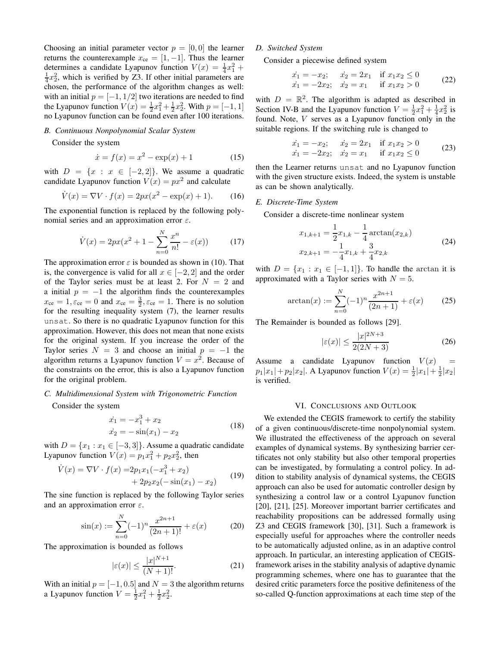Choosing an initial parameter vector  $p = [0, 0]$  the learner returns the counterexample  $x_{ce} = [1, -1]$ . Thus the learner determines a candidate Lyapunov function  $V(x) = \frac{1}{4}x_1^2 +$  $\frac{1}{4}x_2^2$ , which is verified by Z3. If other initial parameters are chosen, the performance of the algorithm changes as well: with an initial  $p = [-1, 1/2]$  two iterations are needed to find the Lyapunov function  $V(x) = \frac{1}{2}x_1^2 + \frac{1}{2}x_2^2$ . With  $p = [-1, 1]$ no Lyapunov function can be found even after 100 iterations.

## *B. Continuous Nonpolynomial Scalar System*

Consider the system

$$
\dot{x} = f(x) = x^2 - \exp(x) + 1 \tag{15}
$$

with  $D = \{x : x \in [-2,2]\}.$  We assume a quadratic candidate Lyapunov function  $V(x) = px^2$  and calculate

$$
\dot{V}(x) = \nabla V \cdot f(x) = 2px(x^2 - \exp(x) + 1). \tag{16}
$$

The exponential function is replaced by the following polynomial series and an approximation error  $\varepsilon$ .

$$
\dot{V}(x) = 2px(x^2 + 1 - \sum_{n=0}^{N} \frac{x^n}{n!} - \varepsilon(x))
$$
 (17)

The approximation error  $\varepsilon$  is bounded as shown in (10). That is, the convergence is valid for all  $x \in [-2, 2]$  and the order of the Taylor series must be at least 2. For  $N = 2$  and a initial  $p = -1$  the algorithm finds the counterexamples  $x_{\rm ce} = 1, \varepsilon_{\rm ce} = 0$  and  $x_{\rm ce} = \frac{3}{2}, \varepsilon_{\rm ce} = 1$ . There is no solution for the resulting inequality system (7), the learner results unsat. So there is no quadratic Lyapunov function for this approximation. However, this does not mean that none exists for the original system. If you increase the order of the Taylor series  $N = 3$  and choose an initial  $p = -1$  the algorithm returns a Lyapunov function  $V = x^2$ . Because of the constraints on the error, this is also a Lyapunov function for the original problem.

## *C. Multidimensional System with Trigonometric Function*

Consider the system

$$
\begin{aligned}\n\dot{x}_1 &= -x_1^3 + x_2\\ \n\dot{x}_2 &= -\sin(x_1) - x_2\n\end{aligned} \tag{18}
$$

with  $D = \{x_1 : x_1 \in [-3, 3]\}.$  Assume a quadratic candidate Lyapunov function  $V(x) = p_1 x_1^2 + p_2 x_2^2$ , then

$$
\dot{V}(x) = \nabla V \cdot f(x) = 2p_1 x_1 (-x_1^3 + x_2) + 2p_2 x_2 (-\sin(x_1) - x_2)
$$
\n(19)

The sine function is replaced by the following Taylor series and an approximation error  $\varepsilon$ .

$$
\sin(x) := \sum_{n=0}^{N} (-1)^n \frac{x^{2n+1}}{(2n+1)!} + \varepsilon(x)
$$
 (20)

The approximation is bounded as follows

$$
|\varepsilon(x)| \le \frac{|x|^{N+1}}{(N+1)!}.\tag{21}
$$

With an initial  $p = [-1, 0.5]$  and  $N = 3$  the algorithm returns a Lyapunov function  $V = \frac{1}{2}x_1^2 + \frac{1}{2}x_2^2$ .

# *D. Switched System*

Consider a piecewise defined system

$$
\begin{aligned}\n\dot{x}_1 &= -x_2; & \dot{x}_2 &= 2x_1 & \text{if } x_1 x_2 \le 0 \\
\dot{x}_1 &= -2x_2; & \dot{x}_2 &= x_1 & \text{if } x_1 x_2 > 0\n\end{aligned} \tag{22}
$$

with  $D = \mathbb{R}^2$ . The algorithm is adapted as described in Section IV-B and the Lyapunov function  $V = \frac{1}{2}x_1^2 + \frac{1}{4}x_2^2$  is found. Note, V serves as a Lyapunov function only in the suitable regions. If the switching rule is changed to

$$
\begin{aligned}\n\dot{x}_1 &= -x_2; & \dot{x}_2 &= 2x_1 & \text{if } x_1 x_2 > 0 \\
\dot{x}_1 &= -2x_2; & \dot{x}_2 &= x_1 & \text{if } x_1 x_2 \le 0\n\end{aligned} \tag{23}
$$

then the Learner returns unsat and no Lyapunov function with the given structure exists. Indeed, the system is unstable as can be shown analytically.

## *E. Discrete-Time System*

Consider a discrete-time nonlinear system

$$
x_{1,k+1} = \frac{1}{2}x_{1,k} - \frac{1}{4}\arctan(x_{2,k})
$$
  
\n
$$
x_{2,k+1} = -\frac{1}{4}x_{1,k} + \frac{3}{4}x_{2,k}
$$
\n(24)

with  $D = \{x_1 : x_1 \in [-1,1]\}$ . To handle the arctan it is approximated with a Taylor series with  $N = 5$ .

$$
\arctan(x) := \sum_{n=0}^{N} (-1)^n \frac{x^{2n+1}}{(2n+1)} + \varepsilon(x) \tag{25}
$$

The Remainder is bounded as follows [29].

$$
|\varepsilon(x)| \le \frac{|x|^{2N+3}}{2(2N+3)}
$$
 (26)

Assume a candidate Lyapunov function  $V(x)$  $p_1|x_1| + p_2|x_2|$ . A Lyapunov function  $V(x) = \frac{1}{2}|x_1| + \frac{1}{2}|x_2|$ is verified.

#### VI. CONCLUSIONS AND OUTLOOK

We extended the CEGIS framework to certify the stability of a given continuous/discrete-time nonpolynomial system. We illustrated the effectiveness of the approach on several examples of dynamical systems. By synthesizing barrier certificates not only stability but also other temporal properties can be investigated, by formulating a control policy. In addition to stability analysis of dynamical systems, the CEGIS approach can also be used for automatic controller design by synthesizing a control law or a control Lyapunov function [20], [21], [25]. Moreover important barrier certificates and reachability propositions can be addressed formally using Z3 and CEGIS framework [30], [31]. Such a framework is especially useful for approaches where the controller needs to be automatically adjusted online, as in an adaptive control approach. In particular, an interesting application of CEGISframework arises in the stability analysis of adaptive dynamic programming schemes, where one has to guarantee that the desired critic parameters force the positive definiteness of the so-called Q-function approximations at each time step of the